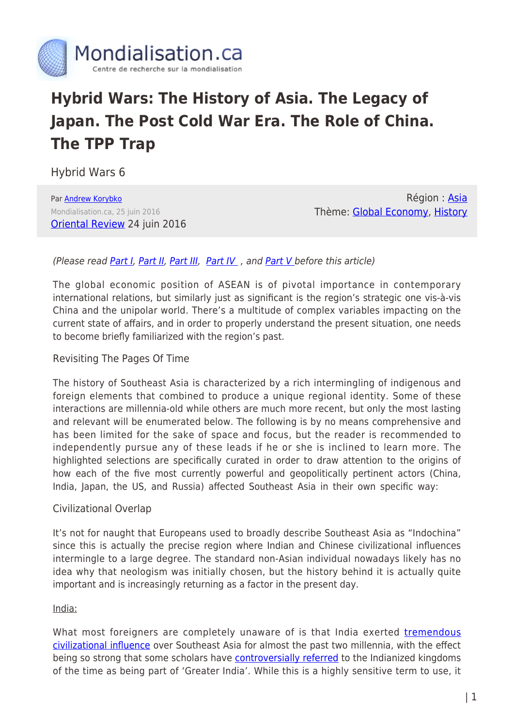

# **Hybrid Wars: The History of Asia. The Legacy of Japan. The Post Cold War Era. The Role of China. The TPP Trap**

Hybrid Wars 6

Par [Andrew Korybko](https://www.mondialisation.ca/author/andrew-korybko) Mondialisation.ca, 25 juin 2016 [Oriental Review](http://orientalreview.org/2016/06/24/hybrid-wars-6-trick-to-containing-china-ii/) 24 juin 2016

Région : [Asia](https://www.mondialisation.ca/region/asia) Thème: [Global Economy](https://www.mondialisation.ca/theme/global-economy), [History](https://www.mondialisation.ca/theme/culture-society-history)

### (Please read [Part I](http://www.globalresearch.ca/hybrid-wars-triggering-ethnic-religious-regional-and-political-conflicts/5512099), [Part II](http://www.globalresearch.ca/hybrid-wars-2-testing-the-theory-syria-and-ukraine/5515219), [Part III](http://www.globalresearch.ca/predicting-the-next-hybrid-wars/5515215), [Part IV](http://www.globalresearch.ca/hybrid-wars-breaking-the-balkans-natos-southern-expansionism/5527601) , and [Part V](http://www.globalresearch.ca/hybrid-wars-breaking-the-balkans-country-scenarios/5528828) before this article)

The global economic position of ASEAN is of pivotal importance in contemporary international relations, but similarly just as significant is the region's strategic one vis-à-vis China and the unipolar world. There's a multitude of complex variables impacting on the current state of affairs, and in order to properly understand the present situation, one needs to become briefly familiarized with the region's past.

Revisiting The Pages Of Time

The history of Southeast Asia is characterized by a rich intermingling of indigenous and foreign elements that combined to produce a unique regional identity. Some of these interactions are millennia-old while others are much more recent, but only the most lasting and relevant will be enumerated below. The following is by no means comprehensive and has been limited for the sake of space and focus, but the reader is recommended to independently pursue any of these leads if he or she is inclined to learn more. The highlighted selections are specifically curated in order to draw attention to the origins of how each of the five most currently powerful and geopolitically pertinent actors (China, India, Japan, the US, and Russia) affected Southeast Asia in their own specific way:

#### Civilizational Overlap

It's not for naught that Europeans used to broadly describe Southeast Asia as "Indochina" since this is actually the precise region where Indian and Chinese civilizational influences intermingle to a large degree. The standard non-Asian individual nowadays likely has no idea why that neologism was initially chosen, but the history behind it is actually quite important and is increasingly returning as a factor in the present day.

#### India:

What most foreigners are completely unaware of is that India exerted [tremendous](http://www.nybooks.com/articles/2015/05/21/great-and-beautiful-lost-kingdoms/) [civilizational influence](http://www.nybooks.com/articles/2015/05/21/great-and-beautiful-lost-kingdoms/) over Southeast Asia for almost the past two millennia, with the effect being so strong that some scholars have [controversially referred](http://www.civilserviceindia.com/subject/History/prelims/impact-on-southeast-asia.html) to the Indianized kingdoms of the time as being part of 'Greater India'. While this is a highly sensitive term to use, it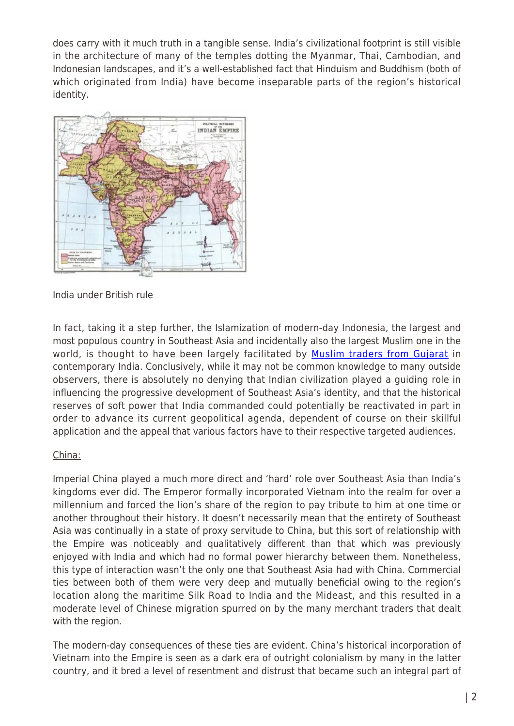does carry with it much truth in a tangible sense. India's civilizational footprint is still visible in the architecture of many of the temples dotting the Myanmar, Thai, Cambodian, and Indonesian landscapes, and it's a well-established fact that Hinduism and Buddhism (both of which originated from India) have become inseparable parts of the region's historical identity.



India under British rule

In fact, taking it a step further, the Islamization of modern-day Indonesia, the largest and most populous country in Southeast Asia and incidentally also the largest Muslim one in the world, is thought to have been largely facilitated by [Muslim traders from Gujarat](http://timesofindia.indiatimes.com/city/ahmedabad/Gujarat-helped-establish-Islam-in-South-East-Asia/articleshow/11262585.cms) in contemporary India. Conclusively, while it may not be common knowledge to many outside observers, there is absolutely no denying that Indian civilization played a guiding role in influencing the progressive development of Southeast Asia's identity, and that the historical reserves of soft power that India commanded could potentially be reactivated in part in order to advance its current geopolitical agenda, dependent of course on their skillful application and the appeal that various factors have to their respective targeted audiences.

#### China:

Imperial China played a much more direct and 'hard' role over Southeast Asia than India's kingdoms ever did. The Emperor formally incorporated Vietnam into the realm for over a millennium and forced the lion's share of the region to pay tribute to him at one time or another throughout their history. It doesn't necessarily mean that the entirety of Southeast Asia was continually in a state of proxy servitude to China, but this sort of relationship with the Empire was noticeably and qualitatively different than that which was previously enjoyed with India and which had no formal power hierarchy between them. Nonetheless, this type of interaction wasn't the only one that Southeast Asia had with China. Commercial ties between both of them were very deep and mutually beneficial owing to the region's location along the maritime Silk Road to India and the Mideast, and this resulted in a moderate level of Chinese migration spurred on by the many merchant traders that dealt with the region.

The modern-day consequences of these ties are evident. China's historical incorporation of Vietnam into the Empire is seen as a dark era of outright colonialism by many in the latter country, and it bred a level of resentment and distrust that became such an integral part of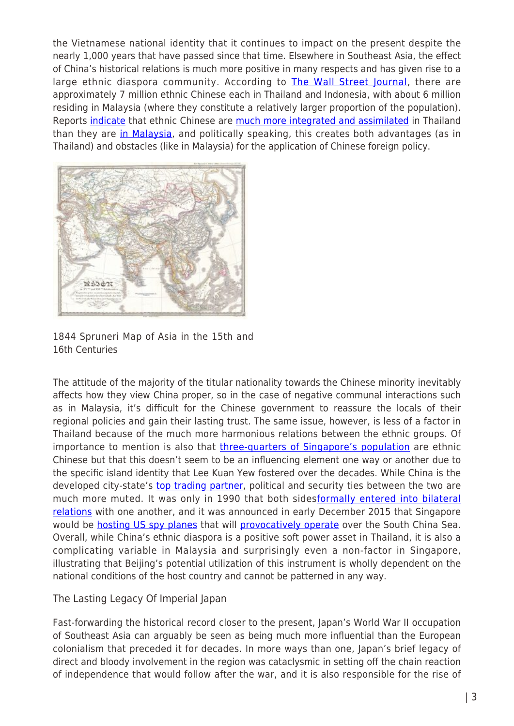the Vietnamese national identity that it continues to impact on the present despite the nearly 1,000 years that have passed since that time. Elsewhere in Southeast Asia, the effect of China's historical relations is much more positive in many respects and has given rise to a large ethnic diaspora community. According to [The Wall Street Journal,](http://www.wsj.com/news/interactive/CHINAMAP_1007) there are approximately 7 million ethnic Chinese each in Thailand and Indonesia, with about 6 million residing in Malaysia (where they constitute a relatively larger proportion of the population). Reports [indicate](http://www.thailawforum.com/blog/chinese-assimilation-in-thailand-vs-malaysia) that ethnic Chinese are [much more integrated and assimilated](http://www.straitstimes.com/asia/se-asia/little-distinction-between-ethnic-thai-and-chinese-amid-close-ties) in Thailand than they are [in Malaysia](http://www.dw.com/en/malaysia-rally-raises-fears-of-ethnic-tension/a-18717507), and politically speaking, this creates both advantages (as in Thailand) and obstacles (like in Malaysia) for the application of Chinese foreign policy.



1844 Spruneri Map of Asia in the 15th and 16th Centuries

The attitude of the majority of the titular nationality towards the Chinese minority inevitably affects how they view China proper, so in the case of negative communal interactions such as in Malaysia, it's difficult for the Chinese government to reassure the locals of their regional policies and gain their lasting trust. The same issue, however, is less of a factor in Thailand because of the much more harmonious relations between the ethnic groups. Of importance to mention is also that [three-quarters of Singapore's population](http://www.nytimes.com/2015/02/13/opinion/tash-aw-being-chinese-in-singapore.html?_r=0) are ethnic Chinese but that this doesn't seem to be an influencing element one way or another due to the specific island identity that Lee Kuan Yew fostered over the decades. While China is the developed city-state's [top trading partner,](http://www.chinadaily.com.cn/business/2014-02/20/content_17295790.htm) political and security ties between the two are much more muted. It was only in 1990 that both sides[formally entered into bilateral](http://www.businesstimes.com.sg/hub/business-china-awards-2015/celebrating-25-years-of-singapore-china-diplomatic-ties) [relations](http://www.businesstimes.com.sg/hub/business-china-awards-2015/celebrating-25-years-of-singapore-china-diplomatic-ties) with one another, and it was announced in early December 2015 that Singapore would be [hosting US spy planes](http://sputniknews.com/military/20151207/1031387578/us-singapore-spy-aircraft.html) that will [provocatively operate](http://sputniknews.com/asia/20151210/1031551590/china-criticize-us-singapore.html) over the South China Sea. Overall, while China's ethnic diaspora is a positive soft power asset in Thailand, it is also a complicating variable in Malaysia and surprisingly even a non-factor in Singapore, illustrating that Beijing's potential utilization of this instrument is wholly dependent on the national conditions of the host country and cannot be patterned in any way.

The Lasting Legacy Of Imperial Japan

Fast-forwarding the historical record closer to the present, Japan's World War II occupation of Southeast Asia can arguably be seen as being much more influential than the European colonialism that preceded it for decades. In more ways than one, Japan's brief legacy of direct and bloody involvement in the region was cataclysmic in setting off the chain reaction of independence that would follow after the war, and it is also responsible for the rise of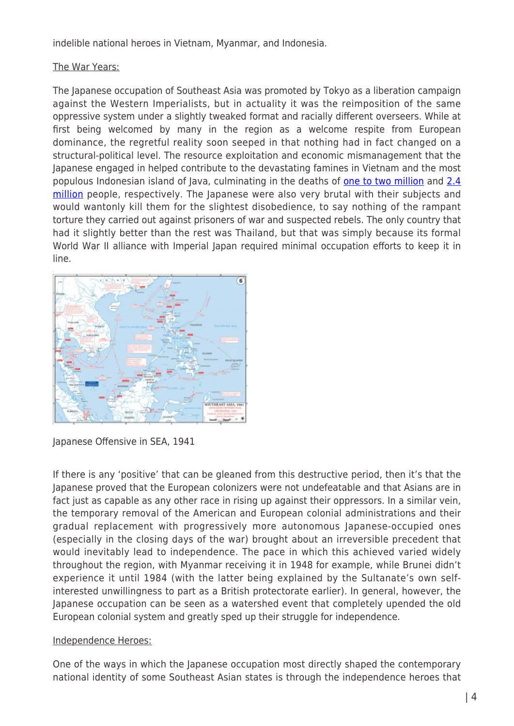indelible national heroes in Vietnam, Myanmar, and Indonesia.

# The War Years:

The Japanese occupation of Southeast Asia was promoted by Tokyo as a liberation campaign against the Western Imperialists, but in actuality it was the reimposition of the same oppressive system under a slightly tweaked format and racially different overseers. While at first being welcomed by many in the region as a welcome respite from European dominance, the regretful reality soon seeped in that nothing had in fact changed on a structural-political level. The resource exploitation and economic mismanagement that the Japanese engaged in helped contribute to the devastating famines in Vietnam and the most populous Indonesian island of Java, culminating in the deaths of [one to two million](http://www.atimes.com/atimes/Southeast_Asia/MC10Ae01.html) and [2.4](https://mpra.ub.uni-muenchen.de/8852/1/MPRA_paper_8852.pdf) [million](https://mpra.ub.uni-muenchen.de/8852/1/MPRA_paper_8852.pdf) people, respectively. The Japanese were also very brutal with their subjects and would wantonly kill them for the slightest disobedience, to say nothing of the rampant torture they carried out against prisoners of war and suspected rebels. The only country that had it slightly better than the rest was Thailand, but that was simply because its formal World War II alliance with Imperial Japan required minimal occupation efforts to keep it in line.



Japanese Offensive in SEA, 1941

If there is any 'positive' that can be gleaned from this destructive period, then it's that the Japanese proved that the European colonizers were not undefeatable and that Asians are in fact just as capable as any other race in rising up against their oppressors. In a similar vein, the temporary removal of the American and European colonial administrations and their gradual replacement with progressively more autonomous Japanese-occupied ones (especially in the closing days of the war) brought about an irreversible precedent that would inevitably lead to independence. The pace in which this achieved varied widely throughout the region, with Myanmar receiving it in 1948 for example, while Brunei didn't experience it until 1984 (with the latter being explained by the Sultanate's own selfinterested unwillingness to part as a British protectorate earlier). In general, however, the Japanese occupation can be seen as a watershed event that completely upended the old European colonial system and greatly sped up their struggle for independence.

#### Independence Heroes:

One of the ways in which the Japanese occupation most directly shaped the contemporary national identity of some Southeast Asian states is through the independence heroes that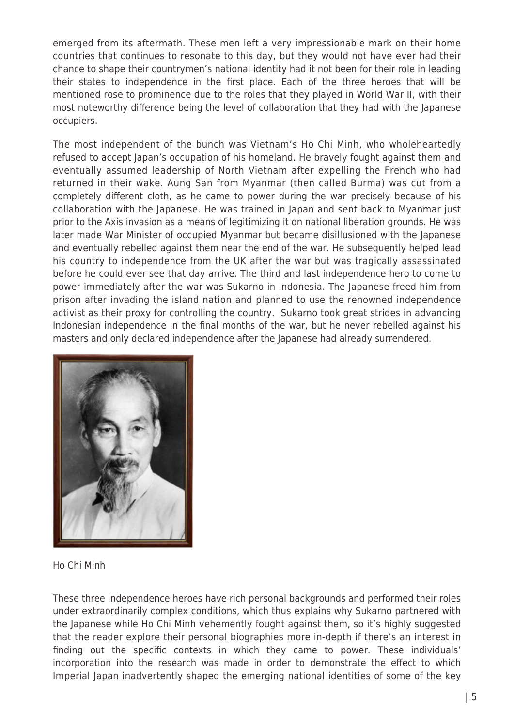emerged from its aftermath. These men left a very impressionable mark on their home countries that continues to resonate to this day, but they would not have ever had their chance to shape their countrymen's national identity had it not been for their role in leading their states to independence in the first place. Each of the three heroes that will be mentioned rose to prominence due to the roles that they played in World War II, with their most noteworthy difference being the level of collaboration that they had with the Japanese occupiers.

The most independent of the bunch was Vietnam's Ho Chi Minh, who wholeheartedly refused to accept Japan's occupation of his homeland. He bravely fought against them and eventually assumed leadership of North Vietnam after expelling the French who had returned in their wake. Aung San from Myanmar (then called Burma) was cut from a completely different cloth, as he came to power during the war precisely because of his collaboration with the Japanese. He was trained in Japan and sent back to Myanmar just prior to the Axis invasion as a means of legitimizing it on national liberation grounds. He was later made War Minister of occupied Myanmar but became disillusioned with the Japanese and eventually rebelled against them near the end of the war. He subsequently helped lead his country to independence from the UK after the war but was tragically assassinated before he could ever see that day arrive. The third and last independence hero to come to power immediately after the war was Sukarno in Indonesia. The Japanese freed him from prison after invading the island nation and planned to use the renowned independence activist as their proxy for controlling the country. Sukarno took great strides in advancing Indonesian independence in the final months of the war, but he never rebelled against his masters and only declared independence after the Japanese had already surrendered.



Ho Chi Minh

These three independence heroes have rich personal backgrounds and performed their roles under extraordinarily complex conditions, which thus explains why Sukarno partnered with the Japanese while Ho Chi Minh vehemently fought against them, so it's highly suggested that the reader explore their personal biographies more in-depth if there's an interest in finding out the specific contexts in which they came to power. These individuals' incorporation into the research was made in order to demonstrate the effect to which Imperial Japan inadvertently shaped the emerging national identities of some of the key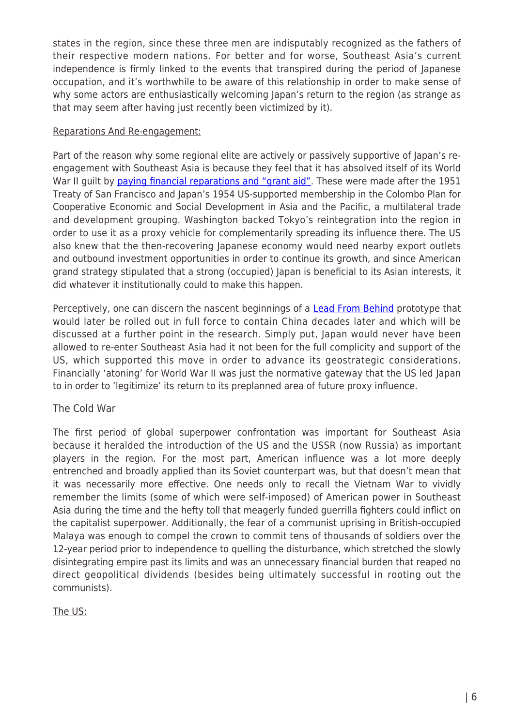states in the region, since these three men are indisputably recognized as the fathers of their respective modern nations. For better and for worse, Southeast Asia's current independence is firmly linked to the events that transpired during the period of Japanese occupation, and it's worthwhile to be aware of this relationship in order to make sense of why some actors are enthusiastically welcoming Japan's return to the region (as strange as that may seem after having just recently been victimized by it).

#### Reparations And Re-engagement:

Part of the reason why some regional elite are actively or passively supportive of Japan's reengagement with Southeast Asia is because they feel that it has absolved itself of its World War II guilt by [paying financial reparations and "grant aid"](http://www.mofa.go.jp/policy/oda/cooperation/anniv50/pamphlet/progress1.html). These were made after the 1951 Treaty of San Francisco and Japan's 1954 US-supported membership in the Colombo Plan for Cooperative Economic and Social Development in Asia and the Pacific, a multilateral trade and development grouping. Washington backed Tokyo's reintegration into the region in order to use it as a proxy vehicle for complementarily spreading its influence there. The US also knew that the then-recovering Japanese economy would need nearby export outlets and outbound investment opportunities in order to continue its growth, and since American grand strategy stipulated that a strong (occupied) Japan is beneficial to its Asian interests, it did whatever it institutionally could to make this happen.

Perceptively, one can discern the nascent beginnings of a [Lead From Behind](http://sputniknews.com/columnists/20150129/1017517136.html) prototype that would later be rolled out in full force to contain China decades later and which will be discussed at a further point in the research. Simply put, Japan would never have been allowed to re-enter Southeast Asia had it not been for the full complicity and support of the US, which supported this move in order to advance its geostrategic considerations. Financially 'atoning' for World War II was just the normative gateway that the US led Japan to in order to 'legitimize' its return to its preplanned area of future proxy influence.

# The Cold War

The first period of global superpower confrontation was important for Southeast Asia because it heralded the introduction of the US and the USSR (now Russia) as important players in the region. For the most part, American influence was a lot more deeply entrenched and broadly applied than its Soviet counterpart was, but that doesn't mean that it was necessarily more effective. One needs only to recall the Vietnam War to vividly remember the limits (some of which were self-imposed) of American power in Southeast Asia during the time and the hefty toll that meagerly funded guerrilla fighters could inflict on the capitalist superpower. Additionally, the fear of a communist uprising in British-occupied Malaya was enough to compel the crown to commit tens of thousands of soldiers over the 12-year period prior to independence to quelling the disturbance, which stretched the slowly disintegrating empire past its limits and was an unnecessary financial burden that reaped no direct geopolitical dividends (besides being ultimately successful in rooting out the communists).

#### The US: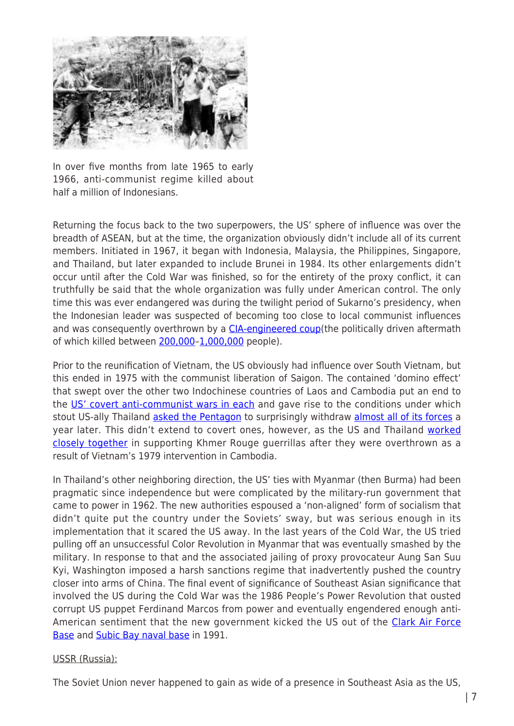

In over five months from late 1965 to early 1966, anti-communist regime killed about half a million of Indonesians.

Returning the focus back to the two superpowers, the US' sphere of influence was over the breadth of ASEAN, but at the time, the organization obviously didn't include all of its current members. Initiated in 1967, it began with Indonesia, Malaysia, the Philippines, Singapore, and Thailand, but later expanded to include Brunei in 1984. Its other enlargements didn't occur until after the Cold War was finished, so for the entirety of the proxy conflict, it can truthfully be said that the whole organization was fully under American control. The only time this was ever endangered was during the twilight period of Sukarno's presidency, when the Indonesian leader was suspected of becoming too close to local communist influences and was consequently overthrown by a [CIA-engineered coup\(](https://www.wsws.org/en/articles/1999/07/indo1-j19.html)the politically driven aftermath of which killed between 200,000-[1,000,000](http://www.theguardian.com/world/2001/aug/01/indonesia.comment) people).

Prior to the reunification of Vietnam, the US obviously had influence over South Vietnam, but this ended in 1975 with the communist liberation of Saigon. The contained 'domino effect' that swept over the other two Indochinese countries of Laos and Cambodia put an end to the [US' covert anti-communist wars in each](http://www.soldiers-of-misfortune.com/history/apocalypse-now.htm) and gave rise to the conditions under which stout US-ally Thailand [asked the Pentagon](http://www.history.com/this-day-in-history/u-s-troops-to-withdraw-from-thailand) to surprisingly withdraw [almost all of its forces](http://www.gao.gov/products/LCD-77-402) a year later. This didn't extend to covert ones, however, as the US and Thailand [worked](http://www.counterpunch.org/2014/10/16/who-supported-the-khmer-rouge/) [closely together](http://www.counterpunch.org/2014/10/16/who-supported-the-khmer-rouge/) in supporting Khmer Rouge guerrillas after they were overthrown as a result of Vietnam's 1979 intervention in Cambodia.

In Thailand's other neighboring direction, the US' ties with Myanmar (then Burma) had been pragmatic since independence but were complicated by the military-run government that came to power in 1962. The new authorities espoused a 'non-aligned' form of socialism that didn't quite put the country under the Soviets' sway, but was serious enough in its implementation that it scared the US away. In the last years of the Cold War, the US tried pulling off an unsuccessful Color Revolution in Myanmar that was eventually smashed by the military. In response to that and the associated jailing of proxy provocateur Aung San Suu Kyi, Washington imposed a harsh sanctions regime that inadvertently pushed the country closer into arms of China. The final event of significance of Southeast Asian significance that involved the US during the Cold War was the 1986 People's Power Revolution that ousted corrupt US puppet Ferdinand Marcos from power and eventually engendered enough anti-American sentiment that the new government kicked the US out of the [Clark Air Force](http://articles.latimes.com/1991-07-18/news/mn-3381_1_clark-air-base) [Base](http://articles.latimes.com/1991-07-18/news/mn-3381_1_clark-air-base) and [Subic Bay naval base](http://orientalreview.org/2016/06/24/hybrid-wars-6-trick-to-containing-china-ii/amounts%20to%20the%20biggest%20reduction%20to%20date%20in%20the%20United%20States%20military%20presence%20in%20the%20western%20Pacific) in 1991.

#### USSR (Russia):

The Soviet Union never happened to gain as wide of a presence in Southeast Asia as the US,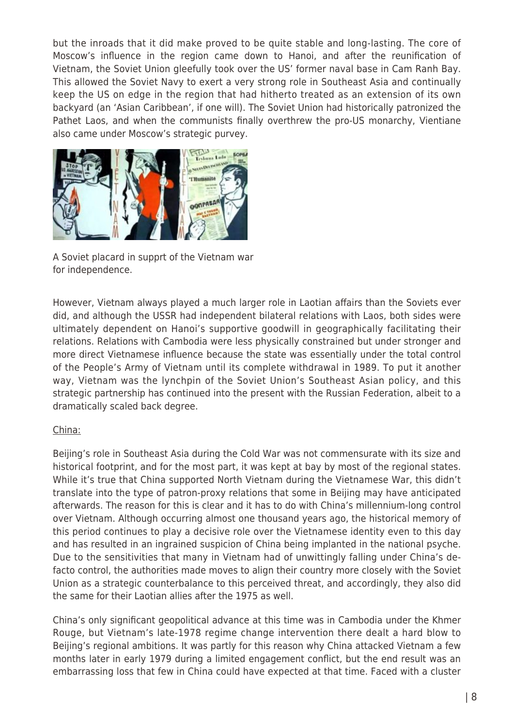but the inroads that it did make proved to be quite stable and long-lasting. The core of Moscow's influence in the region came down to Hanoi, and after the reunification of Vietnam, the Soviet Union gleefully took over the US' former naval base in Cam Ranh Bay. This allowed the Soviet Navy to exert a very strong role in Southeast Asia and continually keep the US on edge in the region that had hitherto treated as an extension of its own backyard (an 'Asian Caribbean', if one will). The Soviet Union had historically patronized the Pathet Laos, and when the communists finally overthrew the pro-US monarchy, Vientiane also came under Moscow's strategic purvey.



A Soviet placard in supprt of the Vietnam war for independence.

However, Vietnam always played a much larger role in Laotian affairs than the Soviets ever did, and although the USSR had independent bilateral relations with Laos, both sides were ultimately dependent on Hanoi's supportive goodwill in geographically facilitating their relations. Relations with Cambodia were less physically constrained but under stronger and more direct Vietnamese influence because the state was essentially under the total control of the People's Army of Vietnam until its complete withdrawal in 1989. To put it another way, Vietnam was the lynchpin of the Soviet Union's Southeast Asian policy, and this strategic partnership has continued into the present with the Russian Federation, albeit to a dramatically scaled back degree.

#### China:

Beijing's role in Southeast Asia during the Cold War was not commensurate with its size and historical footprint, and for the most part, it was kept at bay by most of the regional states. While it's true that China supported North Vietnam during the Vietnamese War, this didn't translate into the type of patron-proxy relations that some in Beijing may have anticipated afterwards. The reason for this is clear and it has to do with China's millennium-long control over Vietnam. Although occurring almost one thousand years ago, the historical memory of this period continues to play a decisive role over the Vietnamese identity even to this day and has resulted in an ingrained suspicion of China being implanted in the national psyche. Due to the sensitivities that many in Vietnam had of unwittingly falling under China's defacto control, the authorities made moves to align their country more closely with the Soviet Union as a strategic counterbalance to this perceived threat, and accordingly, they also did the same for their Laotian allies after the 1975 as well.

China's only significant geopolitical advance at this time was in Cambodia under the Khmer Rouge, but Vietnam's late-1978 regime change intervention there dealt a hard blow to Beijing's regional ambitions. It was partly for this reason why China attacked Vietnam a few months later in early 1979 during a limited engagement conflict, but the end result was an embarrassing loss that few in China could have expected at that time. Faced with a cluster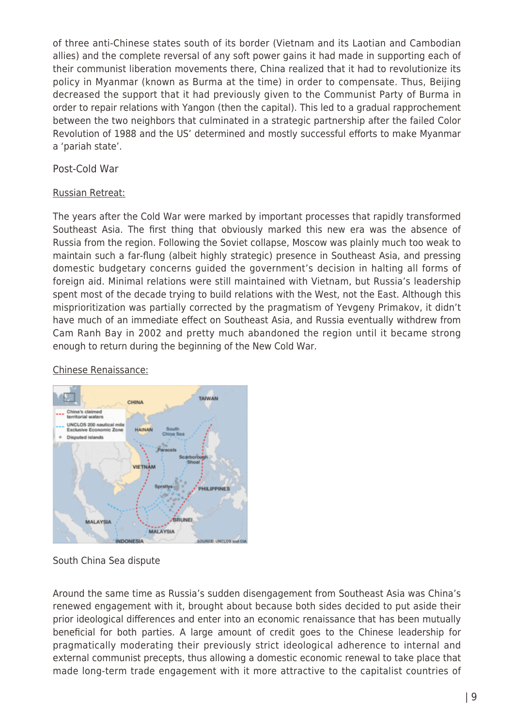of three anti-Chinese states south of its border (Vietnam and its Laotian and Cambodian allies) and the complete reversal of any soft power gains it had made in supporting each of their communist liberation movements there, China realized that it had to revolutionize its policy in Myanmar (known as Burma at the time) in order to compensate. Thus, Beijing decreased the support that it had previously given to the Communist Party of Burma in order to repair relations with Yangon (then the capital). This led to a gradual rapprochement between the two neighbors that culminated in a strategic partnership after the failed Color Revolution of 1988 and the US' determined and mostly successful efforts to make Myanmar a 'pariah state'.

#### Post-Cold War

#### Russian Retreat:

The years after the Cold War were marked by important processes that rapidly transformed Southeast Asia. The first thing that obviously marked this new era was the absence of Russia from the region. Following the Soviet collapse, Moscow was plainly much too weak to maintain such a far-flung (albeit highly strategic) presence in Southeast Asia, and pressing domestic budgetary concerns guided the government's decision in halting all forms of foreign aid. Minimal relations were still maintained with Vietnam, but Russia's leadership spent most of the decade trying to build relations with the West, not the East. Although this misprioritization was partially corrected by the pragmatism of Yevgeny Primakov, it didn't have much of an immediate effect on Southeast Asia, and Russia eventually withdrew from Cam Ranh Bay in 2002 and pretty much abandoned the region until it became strong enough to return during the beginning of the New Cold War.

# Chinese Renaissance:



South China Sea dispute

Around the same time as Russia's sudden disengagement from Southeast Asia was China's renewed engagement with it, brought about because both sides decided to put aside their prior ideological differences and enter into an economic renaissance that has been mutually beneficial for both parties. A large amount of credit goes to the Chinese leadership for pragmatically moderating their previously strict ideological adherence to internal and external communist precepts, thus allowing a domestic economic renewal to take place that made long-term trade engagement with it more attractive to the capitalist countries of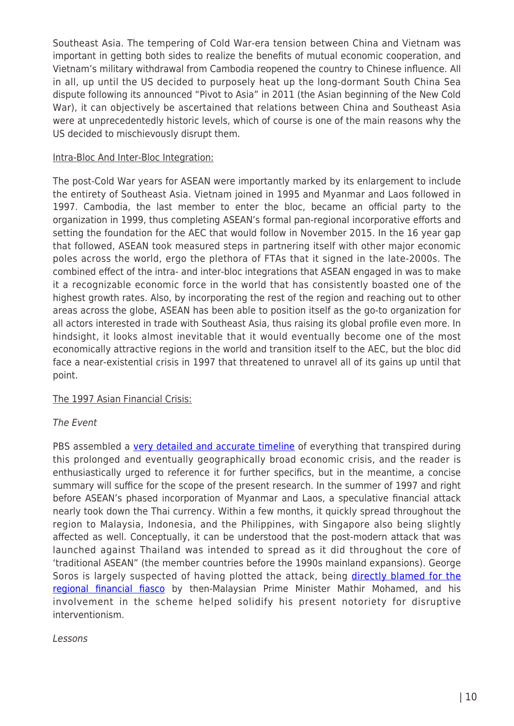Southeast Asia. The tempering of Cold War-era tension between China and Vietnam was important in getting both sides to realize the benefits of mutual economic cooperation, and Vietnam's military withdrawal from Cambodia reopened the country to Chinese influence. All in all, up until the US decided to purposely heat up the long-dormant South China Sea dispute following its announced "Pivot to Asia" in 2011 (the Asian beginning of the New Cold War), it can objectively be ascertained that relations between China and Southeast Asia were at unprecedentedly historic levels, which of course is one of the main reasons why the US decided to mischievously disrupt them.

#### Intra-Bloc And Inter-Bloc Integration:

The post-Cold War years for ASEAN were importantly marked by its enlargement to include the entirety of Southeast Asia. Vietnam joined in 1995 and Myanmar and Laos followed in 1997. Cambodia, the last member to enter the bloc, became an official party to the organization in 1999, thus completing ASEAN's formal pan-regional incorporative efforts and setting the foundation for the AEC that would follow in November 2015. In the 16 year gap that followed, ASEAN took measured steps in partnering itself with other major economic poles across the world, ergo the plethora of FTAs that it signed in the late-2000s. The combined effect of the intra- and inter-bloc integrations that ASEAN engaged in was to make it a recognizable economic force in the world that has consistently boasted one of the highest growth rates. Also, by incorporating the rest of the region and reaching out to other areas across the globe, ASEAN has been able to position itself as the go-to organization for all actors interested in trade with Southeast Asia, thus raising its global profile even more. In hindsight, it looks almost inevitable that it would eventually become one of the most economically attractive regions in the world and transition itself to the AEC, but the bloc did face a near-existential crisis in 1997 that threatened to unravel all of its gains up until that point.

#### The 1997 Asian Financial Crisis:

#### The Event

PBS assembled a [very detailed and accurate timeline](http://www.pbs.org/wgbh/pages/frontline/shows/crash/etc/cron.html) of everything that transpired during this prolonged and eventually geographically broad economic crisis, and the reader is enthusiastically urged to reference it for further specifics, but in the meantime, a concise summary will suffice for the scope of the present research. In the summer of 1997 and right before ASEAN's phased incorporation of Myanmar and Laos, a speculative financial attack nearly took down the Thai currency. Within a few months, it quickly spread throughout the region to Malaysia, Indonesia, and the Philippines, with Singapore also being slightly affected as well. Conceptually, it can be understood that the post-modern attack that was launched against Thailand was intended to spread as it did throughout the core of 'traditional ASEAN" (the member countries before the 1990s mainland expansions). George Soros is largely suspected of having plotted the attack, being [directly blamed for the](http://www.independent.co.uk/news/business/unscrupulous-soros-fires-a-broadside-at-mahathir-the-menace-1240660.html) [regional financial fiasco](http://www.independent.co.uk/news/business/unscrupulous-soros-fires-a-broadside-at-mahathir-the-menace-1240660.html) by then-Malaysian Prime Minister Mathir Mohamed, and his involvement in the scheme helped solidify his present notoriety for disruptive interventionism.

#### Lessons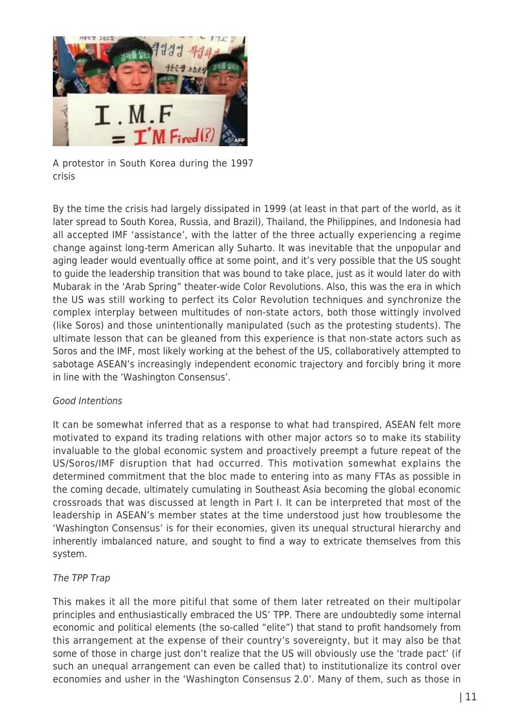

A protestor in South Korea during the 1997 crisis

By the time the crisis had largely dissipated in 1999 (at least in that part of the world, as it later spread to South Korea, Russia, and Brazil), Thailand, the Philippines, and Indonesia had all accepted IMF 'assistance', with the latter of the three actually experiencing a regime change against long-term American ally Suharto. It was inevitable that the unpopular and aging leader would eventually office at some point, and it's very possible that the US sought to guide the leadership transition that was bound to take place, just as it would later do with Mubarak in the 'Arab Spring" theater-wide Color Revolutions. Also, this was the era in which the US was still working to perfect its Color Revolution techniques and synchronize the complex interplay between multitudes of non-state actors, both those wittingly involved (like Soros) and those unintentionally manipulated (such as the protesting students). The ultimate lesson that can be gleaned from this experience is that non-state actors such as Soros and the IMF, most likely working at the behest of the US, collaboratively attempted to sabotage ASEAN's increasingly independent economic trajectory and forcibly bring it more in line with the 'Washington Consensus'.

#### Good Intentions

It can be somewhat inferred that as a response to what had transpired, ASEAN felt more motivated to expand its trading relations with other major actors so to make its stability invaluable to the global economic system and proactively preempt a future repeat of the US/Soros/IMF disruption that had occurred. This motivation somewhat explains the determined commitment that the bloc made to entering into as many FTAs as possible in the coming decade, ultimately cumulating in Southeast Asia becoming the global economic crossroads that was discussed at length in Part I. It can be interpreted that most of the leadership in ASEAN's member states at the time understood just how troublesome the 'Washington Consensus' is for their economies, given its unequal structural hierarchy and inherently imbalanced nature, and sought to find a way to extricate themselves from this system.

# The TPP Trap

This makes it all the more pitiful that some of them later retreated on their multipolar principles and enthusiastically embraced the US' TPP. There are undoubtedly some internal economic and political elements (the so-called "elite") that stand to profit handsomely from this arrangement at the expense of their country's sovereignty, but it may also be that some of those in charge just don't realize that the US will obviously use the 'trade pact' (if such an unequal arrangement can even be called that) to institutionalize its control over economies and usher in the 'Washington Consensus 2.0'. Many of them, such as those in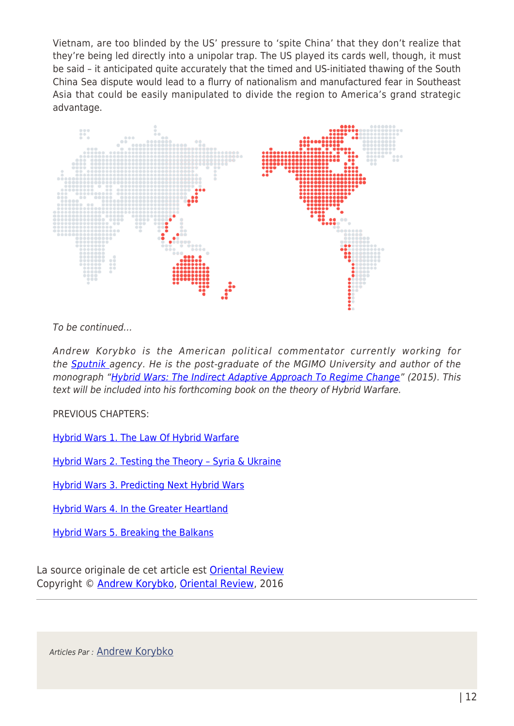Vietnam, are too blinded by the US' pressure to 'spite China' that they don't realize that they're being led directly into a unipolar trap. The US played its cards well, though, it must be said – it anticipated quite accurately that the timed and US-initiated thawing of the South China Sea dispute would lead to a flurry of nationalism and manufactured fear in Southeast Asia that could be easily manipulated to divide the region to America's grand strategic advantage.



To be continued…

Andrew Korybko is the American political commentator currently working for the [Sputnik a](http://www.sputniknews.com/)gency. He is the post-graduate of the MGIMO University and author of the monograph "[Hybrid Wars: The Indirect Adaptive Approach To Regime Change](http://orientalreview.org/wp-content/uploads/2015/08/AK-Hybrid-Wars-updated.pdf)" (2015). This text will be included into his forthcoming book on the theory of Hybrid Warfare.

PREVIOUS CHAPTERS:

[Hybrid Wars 1. The Law Of Hybrid Warfare](http://www.globalresearch.ca/hybrid-wars-triggering-ethnic-religious-regional-and-political-conflicts/5512099)

[Hybrid Wars 2. Testing the Theory – Syria & Ukraine](http://www.globalresearch.ca/hybrid-wars-2-testing-the-theory-syria-and-ukraine/5515219)

[Hybrid Wars 3. Predicting Next Hybrid Wars](http://www.globalresearch.ca/predicting-the-next-hybrid-wars/5515215)

[Hybrid Wars 4. In the Greater Heartland](http://www.globalresearch.ca/hybrid-wars-breaking-the-balkans-natos-southern-expansionism/5527601)

[Hybrid Wars 5. Breaking the Balkans](http://www.globalresearch.ca/hybrid-wars-breaking-the-balkans-country-scenarios/5528828)

La source originale de cet article est [Oriental Review](http://orientalreview.org/2016/06/24/hybrid-wars-6-trick-to-containing-china-ii/) Copyright © [Andrew Korybko,](https://www.mondialisation.ca/author/andrew-korybko) [Oriental Review](http://orientalreview.org/2016/06/24/hybrid-wars-6-trick-to-containing-china-ii/), 2016

Articles Par : [Andrew Korybko](https://www.mondialisation.ca/author/andrew-korybko)